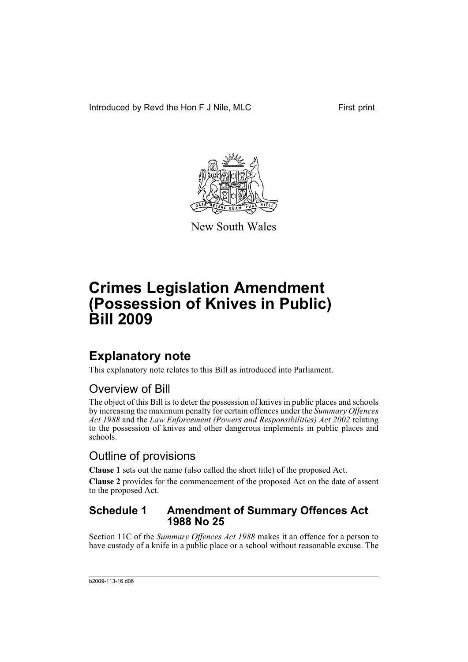Introduced by Revd the Hon F J Nile, MLC First print



New South Wales

# **Crimes Legislation Amendment (Possession of Knives in Public) Bill 2009**

## **Explanatory note**

This explanatory note relates to this Bill as introduced into Parliament.

### Overview of Bill

The object of this Bill is to deter the possession of knives in public places and schools by increasing the maximum penalty for certain offences under the *Summary Offences Act 1988* and the *Law Enforcement (Powers and Responsibilities) Act 2002* relating to the possession of knives and other dangerous implements in public places and schools.

### Outline of provisions

**Clause 1** sets out the name (also called the short title) of the proposed Act.

**Clause 2** provides for the commencement of the proposed Act on the date of assent to the proposed Act.

#### **Schedule 1 Amendment of Summary Offences Act 1988 No 25**

Section 11C of the *Summary Offences Act 1988* makes it an offence for a person to have custody of a knife in a public place or a school without reasonable excuse. The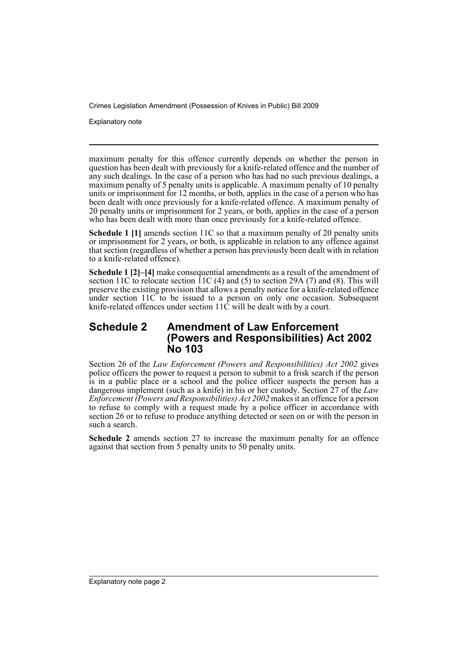Crimes Legislation Amendment (Possession of Knives in Public) Bill 2009

Explanatory note

maximum penalty for this offence currently depends on whether the person in question has been dealt with previously for a knife-related offence and the number of any such dealings. In the case of a person who has had no such previous dealings, a maximum penalty of 5 penalty units is applicable. A maximum penalty of 10 penalty units or imprisonment for 12 months, or both, applies in the case of a person who has been dealt with once previously for a knife-related offence. A maximum penalty of 20 penalty units or imprisonment for 2 years, or both, applies in the case of a person who has been dealt with more than once previously for a knife-related offence.

**Schedule 1 [1]** amends section 11C so that a maximum penalty of 20 penalty units or imprisonment for 2 years, or both, is applicable in relation to any offence against that section (regardless of whether a person has previously been dealt with in relation to a knife-related offence).

**Schedule 1 [2]–[4]** make consequential amendments as a result of the amendment of section 11C to relocate section  $\hat{1}$ 1C (4) and (5) to section 29A (7) and (8). This will preserve the existing provision that allows a penalty notice for a knife-related offence under section 11C to be issued to a person on only one occasion. Subsequent knife-related offences under section 11C will be dealt with by a court.

#### **Schedule 2 Amendment of Law Enforcement (Powers and Responsibilities) Act 2002 No 103**

Section 26 of the *Law Enforcement (Powers and Responsibilities) Act 2002* gives police officers the power to request a person to submit to a frisk search if the person is in a public place or a school and the police officer suspects the person has a dangerous implement (such as a knife) in his or her custody. Section 27 of the *Law Enforcement (Powers and Responsibilities) Act 2002* makes it an offence for a person to refuse to comply with a request made by a police officer in accordance with section 26 or to refuse to produce anything detected or seen on or with the person in such a search.

**Schedule 2** amends section 27 to increase the maximum penalty for an offence against that section from 5 penalty units to 50 penalty units.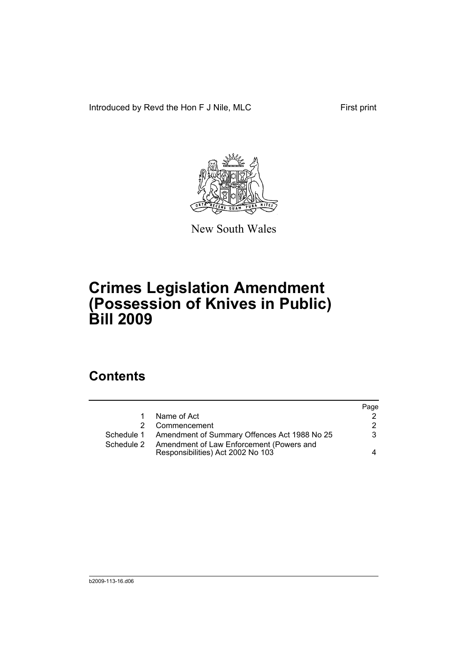Introduced by Revd the Hon F J Nile, MLC First print



New South Wales

# **Crimes Legislation Amendment (Possession of Knives in Public) Bill 2009**

### **Contents**

|             |                                                                               | Page |
|-------------|-------------------------------------------------------------------------------|------|
| $\mathbf 1$ | Name of Act                                                                   | 2    |
| 2           | Commencement                                                                  | 2    |
|             | Schedule 1 Amendment of Summary Offences Act 1988 No 25                       | 3    |
| Schedule 2  | Amendment of Law Enforcement (Powers and<br>Responsibilities) Act 2002 No 103 | 4    |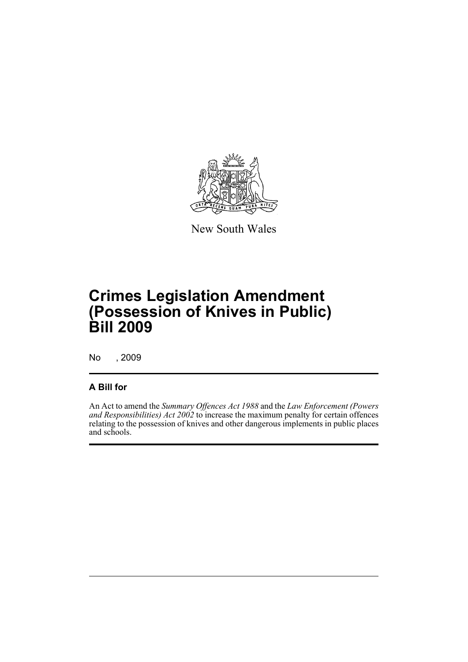

New South Wales

# **Crimes Legislation Amendment (Possession of Knives in Public) Bill 2009**

No , 2009

#### **A Bill for**

An Act to amend the *Summary Offences Act 1988* and the *Law Enforcement (Powers and Responsibilities) Act 2002* to increase the maximum penalty for certain offences relating to the possession of knives and other dangerous implements in public places and schools.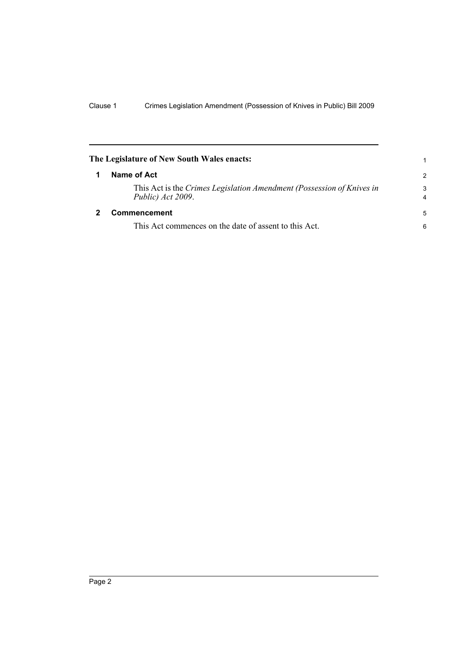<span id="page-5-1"></span><span id="page-5-0"></span>

| The Legislature of New South Wales enacts:                                                 | 1      |
|--------------------------------------------------------------------------------------------|--------|
| Name of Act                                                                                |        |
| This Act is the Crimes Legislation Amendment (Possession of Knives in<br>Public) Act 2009. | 3<br>4 |
| <b>Commencement</b>                                                                        |        |
| This Act commences on the date of assent to this Act.                                      | 6      |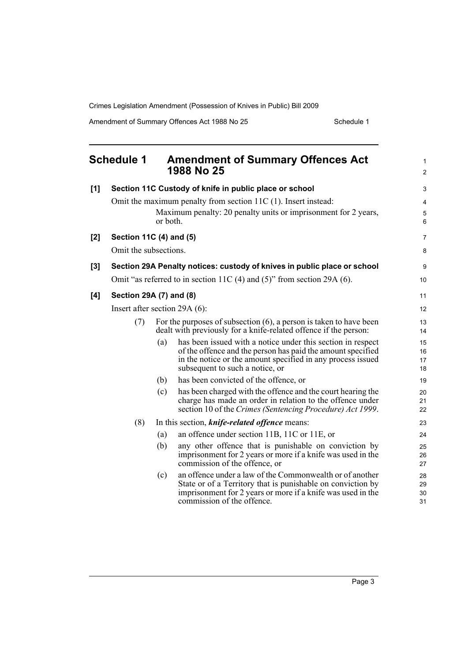Crimes Legislation Amendment (Possession of Knives in Public) Bill 2009

Amendment of Summary Offences Act 1988 No 25 Schedule 1

<span id="page-6-0"></span>

|       | <b>Schedule 1</b>                                                              |          | <b>Amendment of Summary Offences Act</b><br>1988 No 25                                                                                                                                                                       | $\mathbf{1}$<br>$\overline{2}$ |  |
|-------|--------------------------------------------------------------------------------|----------|------------------------------------------------------------------------------------------------------------------------------------------------------------------------------------------------------------------------------|--------------------------------|--|
| [1]   | Section 11C Custody of knife in public place or school                         |          |                                                                                                                                                                                                                              | 3                              |  |
|       | Omit the maximum penalty from section 11C (1). Insert instead:                 |          |                                                                                                                                                                                                                              | 4                              |  |
|       |                                                                                | or both. | Maximum penalty: 20 penalty units or imprisonment for 2 years,                                                                                                                                                               | 5<br>6                         |  |
| $[2]$ | Section 11C (4) and (5)                                                        |          |                                                                                                                                                                                                                              |                                |  |
|       | Omit the subsections.                                                          |          |                                                                                                                                                                                                                              |                                |  |
| $[3]$ | Section 29A Penalty notices: custody of knives in public place or school       |          |                                                                                                                                                                                                                              |                                |  |
|       | Omit "as referred to in section 11C $(4)$ and $(5)$ " from section 29A $(6)$ . |          |                                                                                                                                                                                                                              |                                |  |
| [4]   | Section 29A (7) and (8)                                                        |          |                                                                                                                                                                                                                              |                                |  |
|       | Insert after section 29A $(6)$ :                                               |          |                                                                                                                                                                                                                              |                                |  |
|       | (7)                                                                            |          | For the purposes of subsection $(6)$ , a person is taken to have been<br>dealt with previously for a knife-related offence if the person:                                                                                    | 13<br>14                       |  |
|       |                                                                                | (a)      | has been issued with a notice under this section in respect<br>of the offence and the person has paid the amount specified<br>in the notice or the amount specified in any process issued<br>subsequent to such a notice, or | 15<br>16<br>17<br>18           |  |
|       |                                                                                | (b)      | has been convicted of the offence, or                                                                                                                                                                                        | 19                             |  |
|       |                                                                                | (c)      | has been charged with the offence and the court hearing the<br>charge has made an order in relation to the offence under<br>section 10 of the Crimes (Sentencing Procedure) Act 1999.                                        | 20<br>21<br>22                 |  |
|       | (8)                                                                            |          | In this section, <i>knife-related offence</i> means:                                                                                                                                                                         | 23                             |  |
|       |                                                                                | (a)      | an offence under section 11B, 11C or 11E, or                                                                                                                                                                                 | 24                             |  |
|       |                                                                                | (b)      | any other offence that is punishable on conviction by<br>imprisonment for 2 years or more if a knife was used in the<br>commission of the offence, or                                                                        | 25<br>26<br>27                 |  |
|       |                                                                                | (c)      | an offence under a law of the Commonwealth or of another<br>State or of a Territory that is punishable on conviction by<br>imprisonment for 2 years or more if a knife was used in the<br>commission of the offence.         | 28<br>29<br>30<br>31           |  |